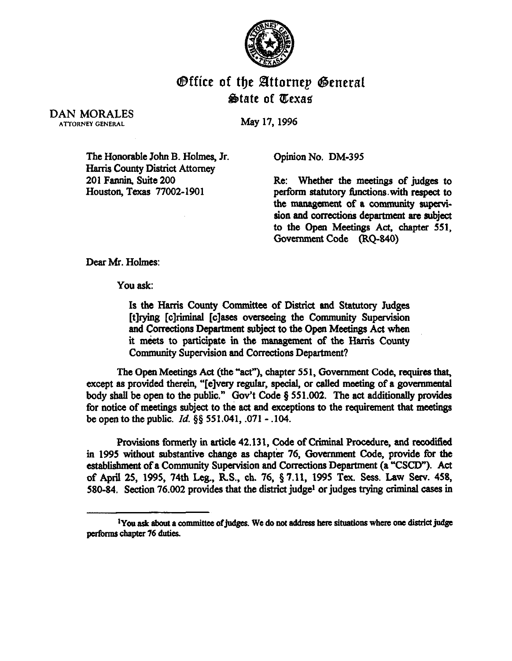

## @ffice of the Efttornep @eneral  $\bigcirc$ **ate of Texas**

DAN MORALES ATTORNEY GENERAL

May 17,1996

The Honorable John B. Holmes, Jr. Harris County District Attorney 201 Fannin, Suite 200 Houston, Texas 77002-1901

Opinion No. DM-395

Re: Whether the meetings of judges to perform statutory functions with respect to the management of a community supervision and corrections department are subject to the Open Meetings Act, chapter 551, Oovemment Code (RQ-840)

Dear Mr. Holmes:

You ask:

Is the Harris County Committee of District and Statutory Judges [t]rying [c]riminal [c]ases overseeing the Community Supervision and Corrections Department subject to the Open Meetings Act when it meets to participate in the management of the Harris County Community Supervision and Corrections Department?

The Open Meetings Act (the "act"), chapter 551, Government Code, requires that, except as provided therein, "[e]very regular, special, or called meeting of a governmental body shall be open to the public." Gov't Code  $\S 551.002$ . The act additionally provides for notice of meetings subject to the act and exceptions to the requirement that meetings be open to the public.  $Id. \S \S 551.041, .071 - .104$ .

Provisions formerly in article 42.131, Code of Criminal Procedure, and recodified in 1995 without substantive change as chapter 76, Government Code, provide for the establishment of a Community Supervision and Corrections Department (a "CSCD"). Act of April 25, 1995, 74th Leg., R.S., ch. 76, § 7.11, 1995 Tex. Sess. Law Serv. 458, 580-84. Section 76.002 provides that the district judge<sup>1</sup> or judges trying criminal cases in

<sup>&</sup>lt;sup>1</sup>You ask about a committee of judges. We do not address here situations where one district judge performs chapter 76 duties.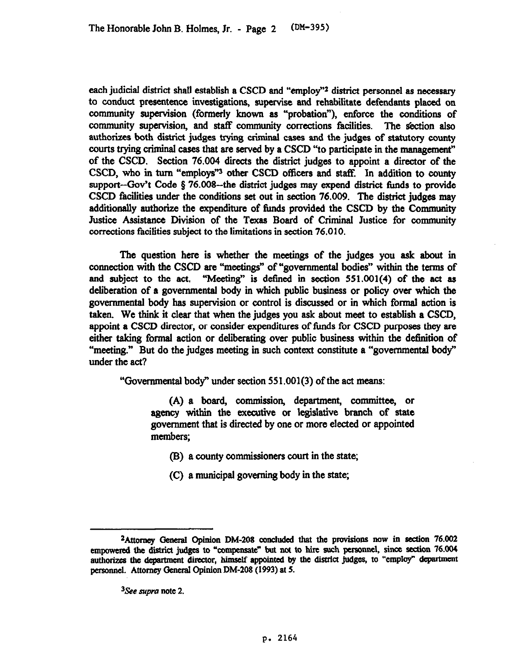each judicial district shall establish a CSCD and "employ"<sup>2</sup> district personnel as necessary to conduct presentence investigations, supervise and rehabilitate defendants placed on community supervision (formerly known as "probation"), enforce the conditions of community supervision, and staff community corrections facilities. The section also authorizes both district judges trying criminal cases and the judges of statutory county courts trying crimind cases that are served by a CSCD "to participate in the management" of the CSCD. Section 76.004 directs the district judges to appoint a director of the CSCD, who in turn "employs"<sup>3</sup> other CSCD officers and staff. In addition to county support-Gov't Code  $§$  76.008--the district judges may expend district funds to provide CSCD facilities under the conditions set out in section 76.009. The district judges may additionally authorize the expenditure of funds provided the CSCD by the Community Justice Assistance Division of the Texas Board of Criminal Justice for community corrections facilities subject to the limitations in section 76.010.

The question here is whether the meetings of the judges you ask about in connection with the CSCD are "meetings" of "governmental bodies" within the terms of and subject to the act. "Meeting" is defined in section  $551.001(4)$  of the act as deliberation of a governmental body in which public business or policy over which the govemmentsl body has supervision or control is discussed or in which formal action is taken. We think it clear that when the judges you ask about meet to establish a CSCD, appoint a CSCD director, or consider expenditures of funds for CSCD purposes they are either taking formal action or deliberating over public business within the definition of "meeting." But do the judges meeting in such context constitute a "governmental body" under the act?

"Govemmental body" under section 551.001(3) of the act means:

(A) a board, commission, department, committee, or agency within the executive or legislative branch of state government that is directed by one or more elected or appointed members;

- (B) a county commissioners court in the state;
- (C) a municipal governing body in the state;

<sup>3</sup>See *supra* note 2.

<sup>&</sup>lt;sup>2</sup>Attorney General Opinion DM-208 concluded that the provisions now in section 76.002 empowered the district judges to "compensate" but not to hire such personnel, since section 76.004 authorizes the department director, himself appointed by the district judges, to "employ" department **persoonel. Attorney General Opinion DM-208 (1993) at 5.**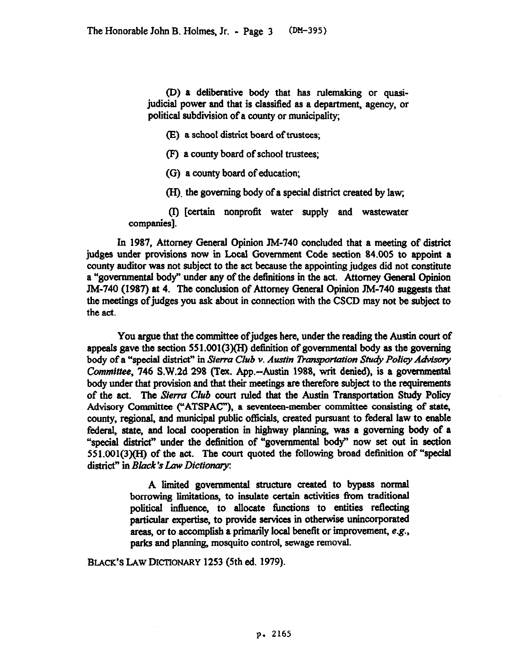(D) a deliberative body that has rulemaking or quasijudicial power and that is clsssified as a department, agency, or political subdivision of a county or municipality;

Q a school district board of trustees;

(F) a county board of school trustees;

(G) a county board of education;

(H) the governing body of a special district created by law;

(I) [certaht nonprofit water supply and wastewater companies].

In 1987, Attorney Genersl Opinion JM-740 concluded that a meeting of district judges under provisions now in Local Government Code section 84.005 to appoint a county auditor was not subject to the act because the appointing judges did not constitute a "governmental body" under any of the definitions in the act. Attorney General Opinion JM-740 (1987) at 4. The conclusion of Attorney Genersl Opinion JM-740 suggests that the meetings of judges you ask about in connection with the CSCD may not be subject to the act.

You argue that the committee of judges here, under the reading the Austin court of appeals gave the section  $551.001(3)(H)$  definition of governmental body as the governing body of a "special district" in *Sierra Club v. Austin Transportation Study Policy Advisory Committee, 746* S.W.2d 298 (Tex. App.-Austin 1988, writ denied), is a governmental body under that provision and that their meetings are therefore subject to the requirements of the act. The Sierra *Club court ruled* that *the Austin* Transportation Study Policy Advisory Committee ("ATSPAC"), a seventeen-member committee consisting of state, county, regional, and municipal public officials, created pursuant to federal law to enable federal, state, and local cooperation in highway planning, was a governing body of a "special district" under the definition of "governmental body" now set out in section 551.001(3)(H) of the act. The court quoted the following broad definition of "special district" in *Black's Law Dictionary*:

> A limited governmental structure created to bypass normal borrowing limitations, to insulate certain activities from traditional political influence. to allocate timctions to entities reflecting particular expertise, to provide services in otherwise unincorporated areas, or to accomplish a primarily local benefit *or* improvement, e.g., parks and planning, mosquito *control,* sewage removal.

**BLACK'S LAW DETIONARY 1253 (5th ed. 1979).**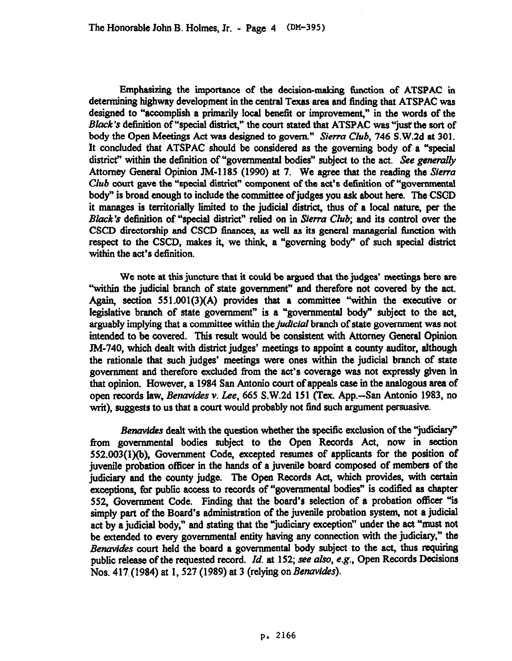Emphasizing the importance of the decision-making function of ATSPAC in determining highway development in the central Texas area and tinding that ATSPAC was designed to "accomplish a primarily local benefit or improvement," in the words of the *Black's* definition of "special district," the court stated that ATSPAC was "just the sort of body the Open *Meetings* Act was designed to govem." *Sierra Club, 746* S.W.Zd at 301. It concluded that ATSPAC should be considered as the governing body of a "special district" within the definition of "governmental bodies" subject to the act. See generally Attorney General Opinion JM-1185 (1990) at 7. We agree that the reading the *Sierra Club* court gave the "special district" component of the act's definition of "governmental body" is broad enough to include the committee of judges you ask about here. The CSCD it manages is territorially limited to the judicial district, thus of a local nature, per the *Black's* definition of "special district" relied on in Sierra Club; and its control over the CSCD directorship and CSCD finances, as well as its general managerial function with respect to the CSCD. makes it, we think, a *"'governing* body" of such special district within the act's definition.

We note at this juncture that it could be argued that the judges' meetings here are "within the judicial branch of state government" and therefore not covered by the act. Again, section 551.001(3)(A) provides that a committee "within the executive or legislative branch of state government" is a "governmental body" subject to the act, arguably implying that a committee within the *judicial* branch of state government was not intended to be covered. This result would be consistent with Attorney General Opinion JM-740, which dealt with district judges' meetings to appoint a county auditor, although the rationale that. such judges' meetings were ones within the judicial branch of state govermnent and therefore excluded from the act's coverage was not expressly given in that opinion. However, a 1984 San Antonio court of appeals case in the analogous area of open records law, *Benavides v. Lee, 665* S.W.2d 151 (Tex. App.-San Antonio 1983, no writ), suggests to us that a court would probably not find such argument persuasive.

*Benavides* dealt with the question whether the specific exclusion of the "judiciary" from govemmentsl bodies subject to the Open Records Act, now in section 552.003(1)(b), Government Code, excepted resumes of applicants for the position of juvenile probation officer in the hands of a juvenile board composed of members of the *judiciary* and the county judge. The Open Records Act, which provides, with certain exceptions, for public access to records of "governmental bodies" is codified as chapter 552, Government Code. Finding that the board's selection of a probation officer "is simply part of the Board's administration of the juvenile probation system, not a judicial act by a judicial body," and stating that the "judiciary exception" under the act "must not be extended to every governmental entity having any connection with the judiciary," the *Benavides court* held the board a governmental body subject to the act, thus requiring public release of the requested record. *Id.* at 152; see *also,* e.g., Open Records Decisions Nos. 417 (1984) at 1, 527 (1989) at 3 (relying on *Benavides*).